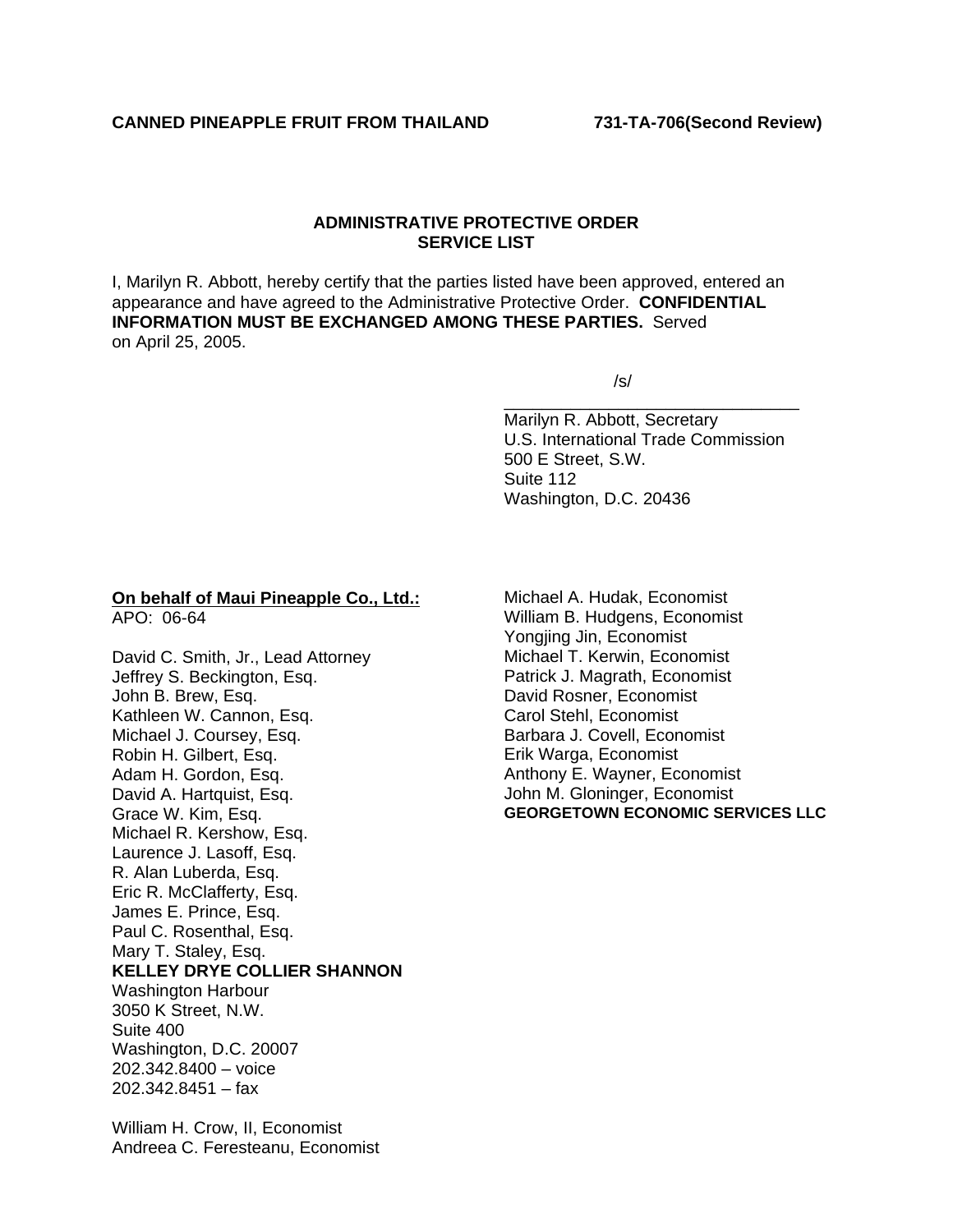## **ADMINISTRATIVE PROTECTIVE ORDER SERVICE LIST**

I, Marilyn R. Abbott, hereby certify that the parties listed have been approved, entered an appearance and have agreed to the Administrative Protective Order. **CONFIDENTIAL INFORMATION MUST BE EXCHANGED AMONG THESE PARTIES.** Served on April 25, 2005.

 $\overline{\phantom{a}}$  , and the contract of the contract of the contract of the contract of the contract of the contract of the contract of the contract of the contract of the contract of the contract of the contract of the contrac

 $\sqrt{s}$ /s/

Marilyn R. Abbott, Secretary U.S. International Trade Commission 500 E Street, S.W. Suite 112 Washington, D.C. 20436

## **On behalf of Maui Pineapple Co., Ltd.:** APO: 06-64

David C. Smith, Jr., Lead Attorney Jeffrey S. Beckington, Esq. John B. Brew, Esq. Kathleen W. Cannon, Esq. Michael J. Coursey, Esq. Robin H. Gilbert, Esq. Adam H. Gordon, Esq. David A. Hartquist, Esq. Grace W. Kim, Esq. Michael R. Kershow, Esq. Laurence J. Lasoff, Esq. R. Alan Luberda, Esq. Eric R. McClafferty, Esq. James E. Prince, Esq. Paul C. Rosenthal, Esq. Mary T. Staley, Esq. **KELLEY DRYE COLLIER SHANNON** Washington Harbour 3050 K Street, N.W. Suite 400 Washington, D.C. 20007 202.342.8400 – voice 202.342.8451 – fax

William H. Crow, II, Economist Andreea C. Feresteanu, Economist Michael A. Hudak, Economist William B. Hudgens, Economist Yongjing Jin, Economist Michael T. Kerwin, Economist Patrick J. Magrath, Economist David Rosner, Economist Carol Stehl, Economist Barbara J. Covell, Economist Erik Warga, Economist Anthony E. Wayner, Economist John M. Gloninger, Economist **GEORGETOWN ECONOMIC SERVICES LLC**